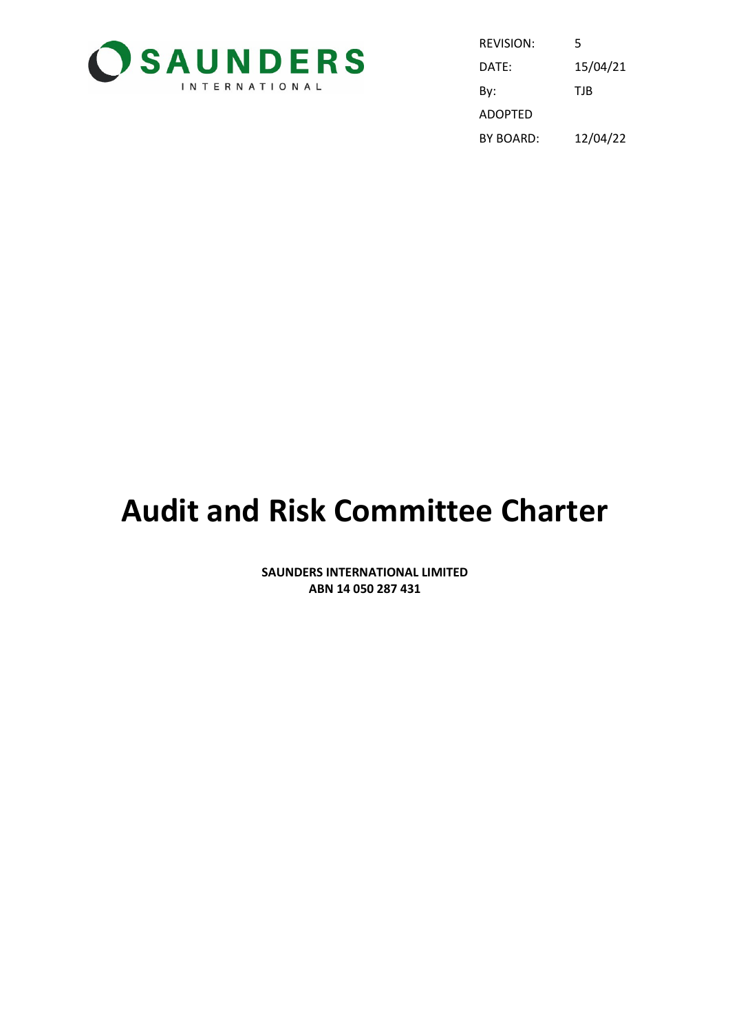

| REVISION: | 5        |
|-----------|----------|
| DATE:     | 15/04/21 |
| By:       | TJB      |
| ADOPTED   |          |
| BY BOARD: | 12/04/22 |

# **Audit and Risk Committee Charter**

**SAUNDERS INTERNATIONAL LIMITED ABN 14 050 287 431**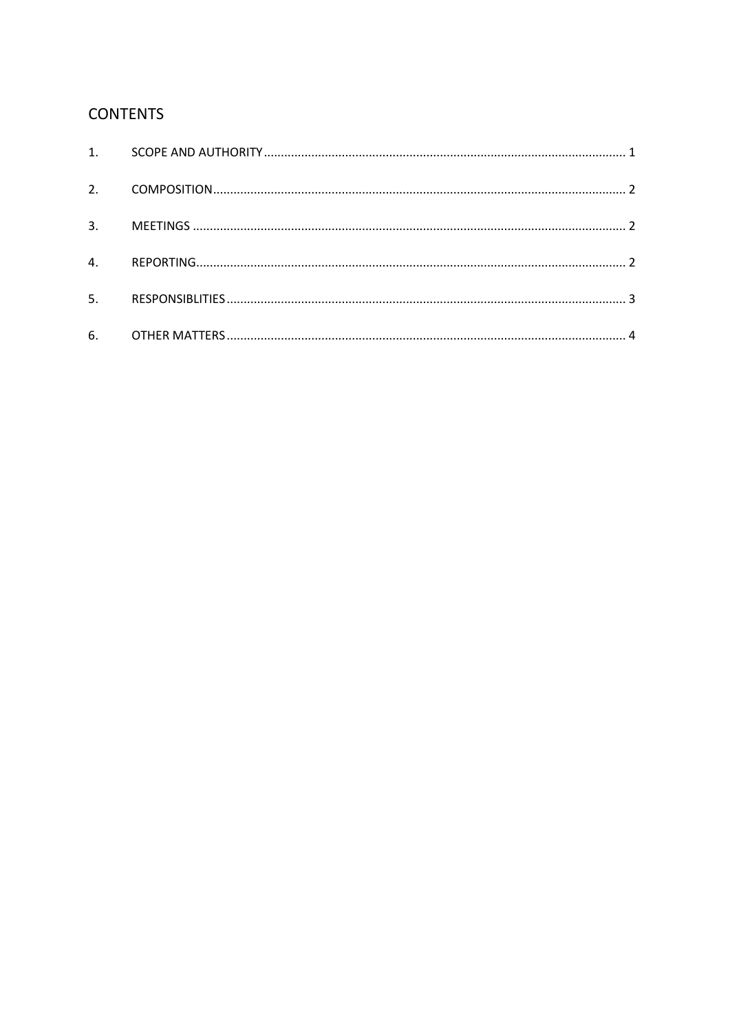### **CONTENTS**

| 2. |  |
|----|--|
| 3. |  |
| 4. |  |
| 5. |  |
|    |  |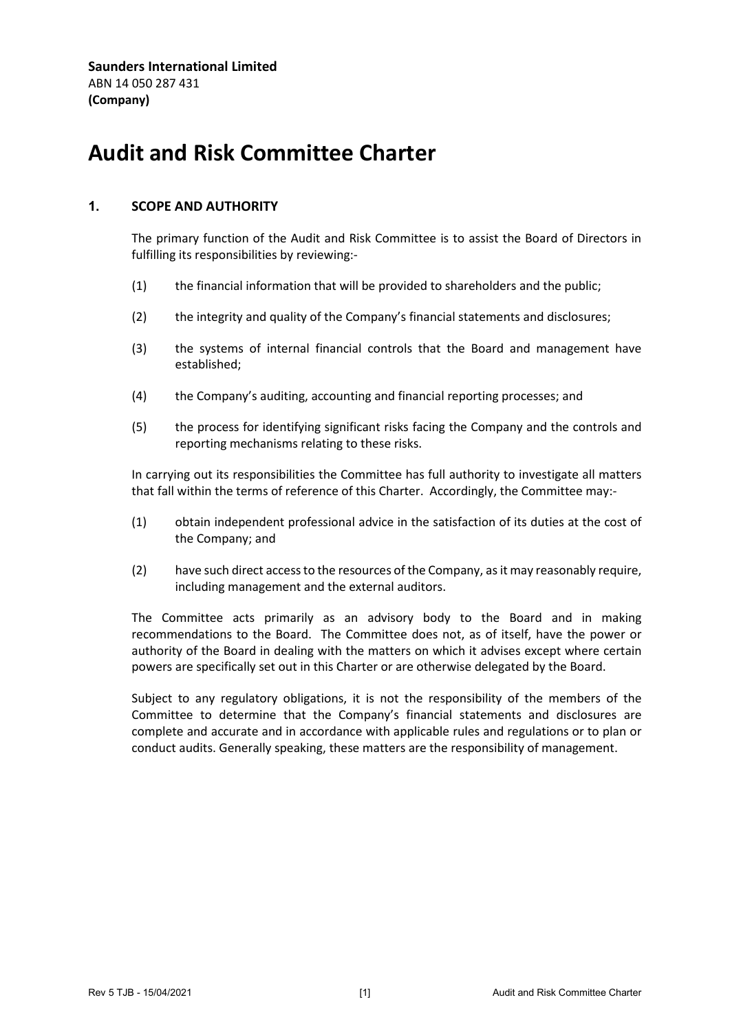**Saunders International Limited** ABN 14 050 287 431 **(Company)**

## **Audit and Risk Committee Charter**

#### <span id="page-2-0"></span>**1. SCOPE AND AUTHORITY**

The primary function of the Audit and Risk Committee is to assist the Board of Directors in fulfilling its responsibilities by reviewing:-

- (1) the financial information that will be provided to shareholders and the public;
- (2) the integrity and quality of the Company's financial statements and disclosures;
- (3) the systems of internal financial controls that the Board and management have established;
- (4) the Company's auditing, accounting and financial reporting processes; and
- (5) the process for identifying significant risks facing the Company and the controls and reporting mechanisms relating to these risks.

In carrying out its responsibilities the Committee has full authority to investigate all matters that fall within the terms of reference of this Charter. Accordingly, the Committee may:-

- (1) obtain independent professional advice in the satisfaction of its duties at the cost of the Company; and
- (2) have such direct access to the resources of the Company, as it may reasonably require, including management and the external auditors.

The Committee acts primarily as an advisory body to the Board and in making recommendations to the Board. The Committee does not, as of itself, have the power or authority of the Board in dealing with the matters on which it advises except where certain powers are specifically set out in this Charter or are otherwise delegated by the Board.

Subject to any regulatory obligations, it is not the responsibility of the members of the Committee to determine that the Company's financial statements and disclosures are complete and accurate and in accordance with applicable rules and regulations or to plan or conduct audits. Generally speaking, these matters are the responsibility of management.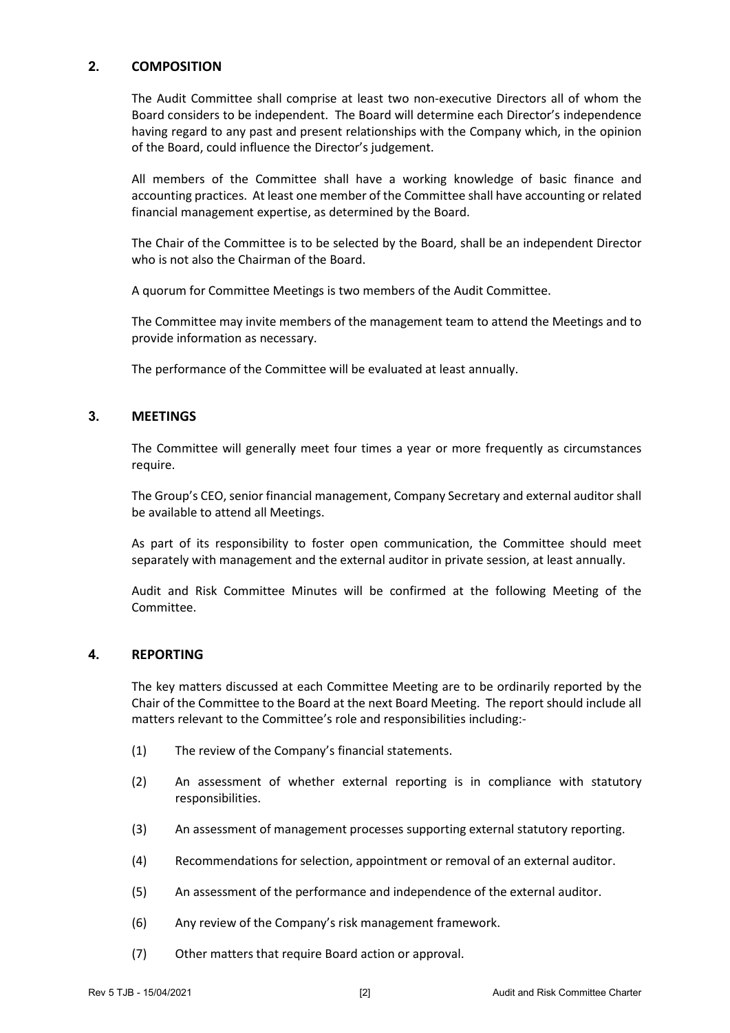#### <span id="page-3-0"></span>**2. COMPOSITION**

The Audit Committee shall comprise at least two non-executive Directors all of whom the Board considers to be independent. The Board will determine each Director's independence having regard to any past and present relationships with the Company which, in the opinion of the Board, could influence the Director's judgement.

All members of the Committee shall have a working knowledge of basic finance and accounting practices. At least one member of the Committee shall have accounting or related financial management expertise, as determined by the Board.

The Chair of the Committee is to be selected by the Board, shall be an independent Director who is not also the Chairman of the Board.

A quorum for Committee Meetings is two members of the Audit Committee.

The Committee may invite members of the management team to attend the Meetings and to provide information as necessary.

The performance of the Committee will be evaluated at least annually.

#### <span id="page-3-1"></span>**3. MEETINGS**

The Committee will generally meet four times a year or more frequently as circumstances require.

The Group's CEO, senior financial management, Company Secretary and external auditor shall be available to attend all Meetings.

As part of its responsibility to foster open communication, the Committee should meet separately with management and the external auditor in private session, at least annually.

Audit and Risk Committee Minutes will be confirmed at the following Meeting of the Committee.

#### <span id="page-3-2"></span>**4. REPORTING**

The key matters discussed at each Committee Meeting are to be ordinarily reported by the Chair of the Committee to the Board at the next Board Meeting. The report should include all matters relevant to the Committee's role and responsibilities including:-

- (1) The review of the Company's financial statements.
- (2) An assessment of whether external reporting is in compliance with statutory responsibilities.
- (3) An assessment of management processes supporting external statutory reporting.
- (4) Recommendations for selection, appointment or removal of an external auditor.
- (5) An assessment of the performance and independence of the external auditor.
- (6) Any review of the Company's risk management framework.
- (7) Other matters that require Board action or approval.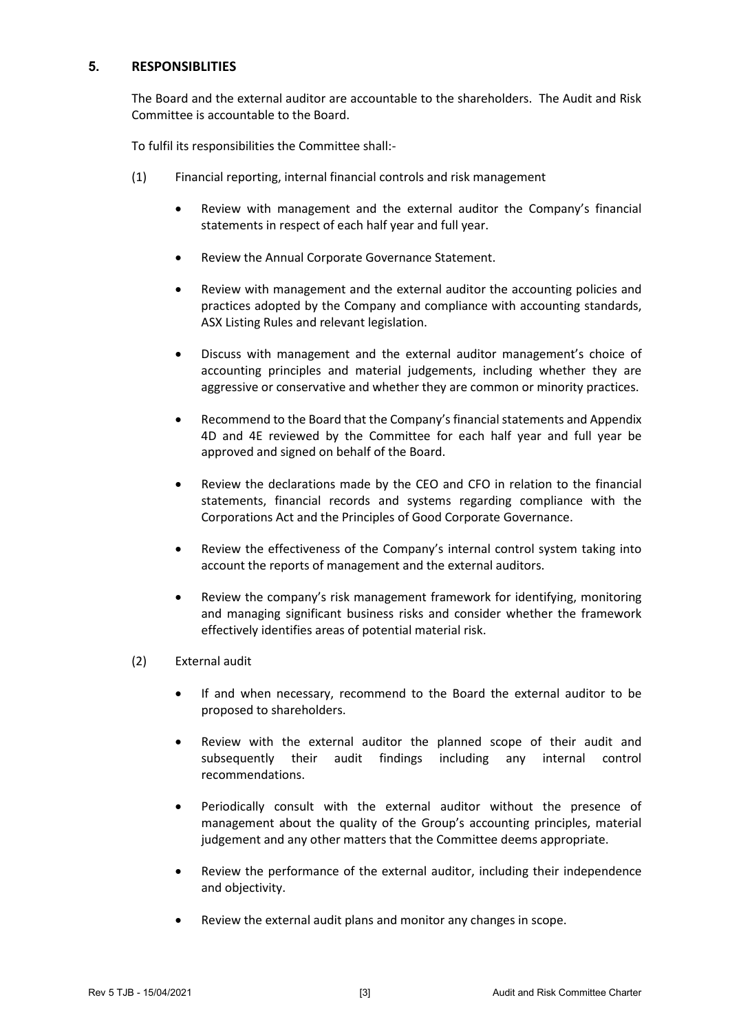#### <span id="page-4-0"></span>**5. RESPONSIBLITIES**

The Board and the external auditor are accountable to the shareholders. The Audit and Risk Committee is accountable to the Board.

To fulfil its responsibilities the Committee shall:-

- (1) Financial reporting, internal financial controls and risk management
	- Review with management and the external auditor the Company's financial statements in respect of each half year and full year.
	- Review the Annual Corporate Governance Statement.
	- Review with management and the external auditor the accounting policies and practices adopted by the Company and compliance with accounting standards, ASX Listing Rules and relevant legislation.
	- Discuss with management and the external auditor management's choice of accounting principles and material judgements, including whether they are aggressive or conservative and whether they are common or minority practices.
	- Recommend to the Board that the Company's financial statements and Appendix 4D and 4E reviewed by the Committee for each half year and full year be approved and signed on behalf of the Board.
	- Review the declarations made by the CEO and CFO in relation to the financial statements, financial records and systems regarding compliance with the Corporations Act and the Principles of Good Corporate Governance.
	- Review the effectiveness of the Company's internal control system taking into account the reports of management and the external auditors.
	- Review the company's risk management framework for identifying, monitoring and managing significant business risks and consider whether the framework effectively identifies areas of potential material risk.
- (2) External audit
	- If and when necessary, recommend to the Board the external auditor to be proposed to shareholders.
	- Review with the external auditor the planned scope of their audit and subsequently their audit findings including any internal control recommendations.
	- Periodically consult with the external auditor without the presence of management about the quality of the Group's accounting principles, material judgement and any other matters that the Committee deems appropriate.
	- Review the performance of the external auditor, including their independence and objectivity.
	- Review the external audit plans and monitor any changes in scope.